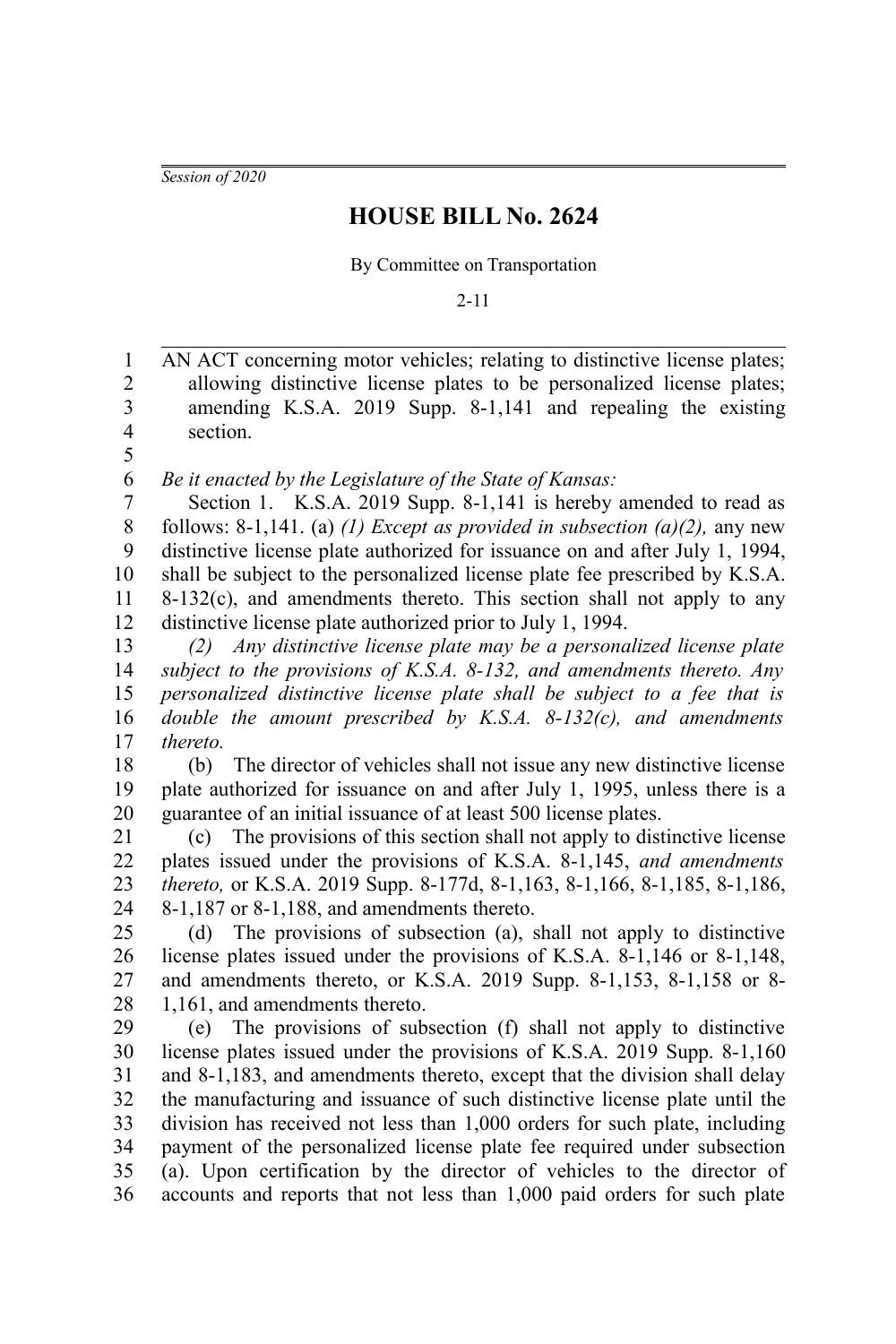*Session of 2020*

## **HOUSE BILL No. 2624**

By Committee on Transportation

2-11

AN ACT concerning motor vehicles; relating to distinctive license plates; allowing distinctive license plates to be personalized license plates; amending K.S.A. 2019 Supp. 8-1,141 and repealing the existing section. 1 2 3 4 5

*Be it enacted by the Legislature of the State of Kansas:* 6

Section 1. K.S.A. 2019 Supp. 8-1,141 is hereby amended to read as follows: 8-1,141. (a) *(1) Except as provided in subsection (a)(2),* any new distinctive license plate authorized for issuance on and after July 1, 1994, shall be subject to the personalized license plate fee prescribed by K.S.A.  $8-132(c)$ , and amendments thereto. This section shall not apply to any distinctive license plate authorized prior to July 1, 1994. 7 8 9 10 11 12

*(2) Any distinctive license plate may be a personalized license plate subject to the provisions of K.S.A. 8-132, and amendments thereto. Any personalized distinctive license plate shall be subject to a fee that is double the amount prescribed by K.S.A. 8-132(c), and amendments thereto.* 13 14 15 16 17

(b) The director of vehicles shall not issue any new distinctive license plate authorized for issuance on and after July 1, 1995, unless there is a guarantee of an initial issuance of at least 500 license plates. 18 19 20

(c) The provisions of this section shall not apply to distinctive license plates issued under the provisions of K.S.A. 8-1,145, *and amendments thereto,* or K.S.A. 2019 Supp. 8-177d, 8-1,163, 8-1,166, 8-1,185, 8-1,186, 8-1,187 or 8-1,188, and amendments thereto. 21 22 23 24

(d) The provisions of subsection (a), shall not apply to distinctive license plates issued under the provisions of K.S.A. 8-1,146 or 8-1,148, and amendments thereto, or K.S.A. 2019 Supp. 8-1,153, 8-1,158 or 8- 1,161, and amendments thereto. 25 26 27 28

(e) The provisions of subsection (f) shall not apply to distinctive license plates issued under the provisions of K.S.A. 2019 Supp. 8-1,160 and 8-1,183, and amendments thereto, except that the division shall delay the manufacturing and issuance of such distinctive license plate until the division has received not less than 1,000 orders for such plate, including payment of the personalized license plate fee required under subsection (a). Upon certification by the director of vehicles to the director of accounts and reports that not less than 1,000 paid orders for such plate 29 30 31 32 33 34 35 36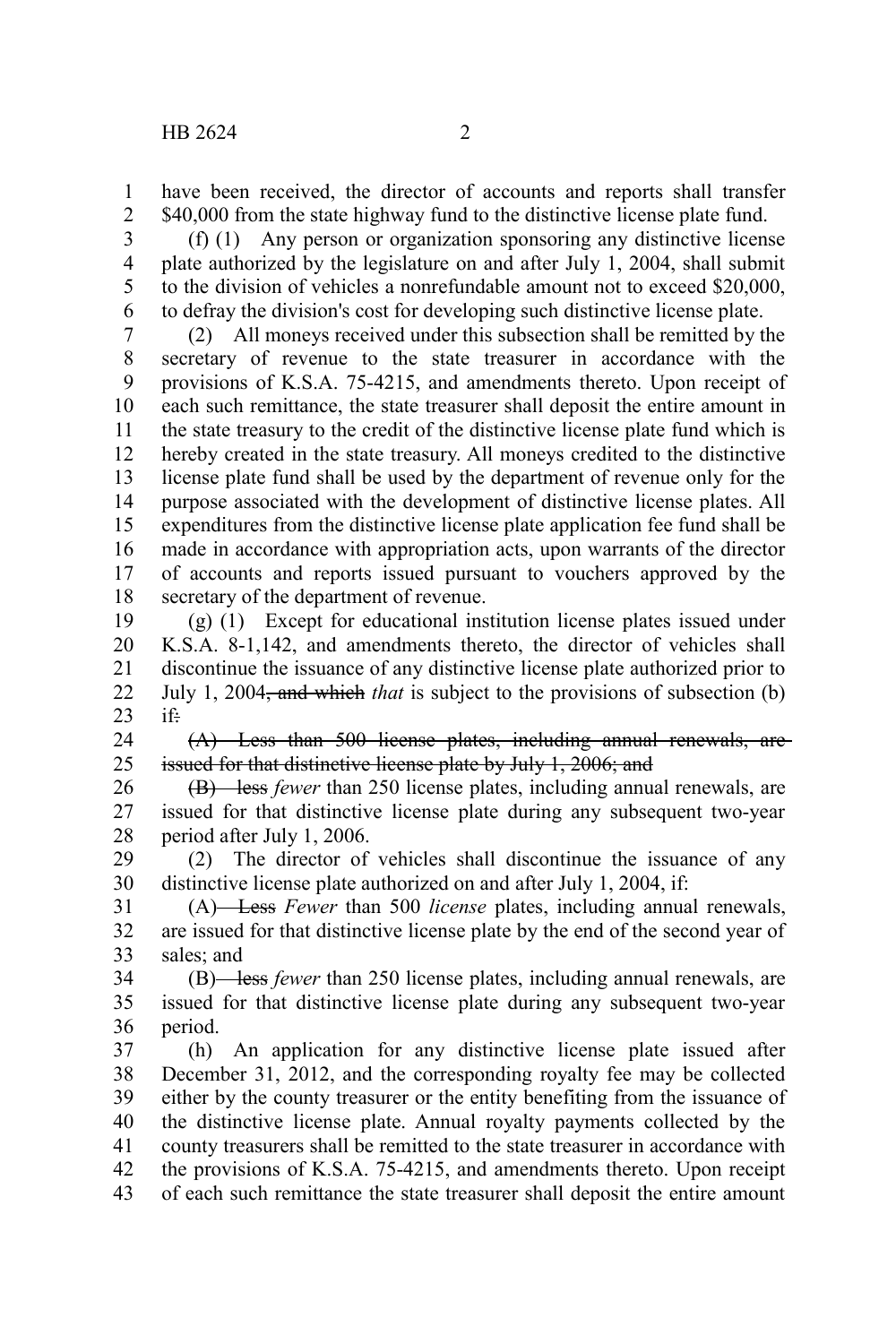have been received, the director of accounts and reports shall transfer \$40,000 from the state highway fund to the distinctive license plate fund. 1 2

(f) (1) Any person or organization sponsoring any distinctive license plate authorized by the legislature on and after July 1, 2004, shall submit to the division of vehicles a nonrefundable amount not to exceed \$20,000, to defray the division's cost for developing such distinctive license plate. 3 4 5 6

(2) All moneys received under this subsection shall be remitted by the secretary of revenue to the state treasurer in accordance with the provisions of K.S.A. 75-4215, and amendments thereto. Upon receipt of each such remittance, the state treasurer shall deposit the entire amount in the state treasury to the credit of the distinctive license plate fund which is hereby created in the state treasury. All moneys credited to the distinctive license plate fund shall be used by the department of revenue only for the purpose associated with the development of distinctive license plates. All expenditures from the distinctive license plate application fee fund shall be made in accordance with appropriation acts, upon warrants of the director of accounts and reports issued pursuant to vouchers approved by the secretary of the department of revenue. 7 8 9 10 11 12 13 14 15 16 17 18

(g) (1) Except for educational institution license plates issued under K.S.A. 8-1,142, and amendments thereto, the director of vehicles shall discontinue the issuance of any distinctive license plate authorized prior to July 1, 2004, and which *that* is subject to the provisions of subsection (b) if: 19 20 21 22 23

(A) Less than 500 license plates, including annual renewals, are issued for that distinctive license plate by July 1, 2006; and 24 25

(B) less *fewer* than 250 license plates, including annual renewals, are issued for that distinctive license plate during any subsequent two-year period after July 1, 2006. 26 27 28

(2) The director of vehicles shall discontinue the issuance of any distinctive license plate authorized on and after July 1, 2004, if: 29 30

(A) Less *Fewer* than 500 *license* plates, including annual renewals, are issued for that distinctive license plate by the end of the second year of sales; and 31 32 33

(B) less *fewer* than 250 license plates, including annual renewals, are issued for that distinctive license plate during any subsequent two-year period. 34 35 36

(h) An application for any distinctive license plate issued after December 31, 2012, and the corresponding royalty fee may be collected either by the county treasurer or the entity benefiting from the issuance of the distinctive license plate. Annual royalty payments collected by the county treasurers shall be remitted to the state treasurer in accordance with the provisions of K.S.A. 75-4215, and amendments thereto. Upon receipt of each such remittance the state treasurer shall deposit the entire amount 37 38 39 40 41 42 43